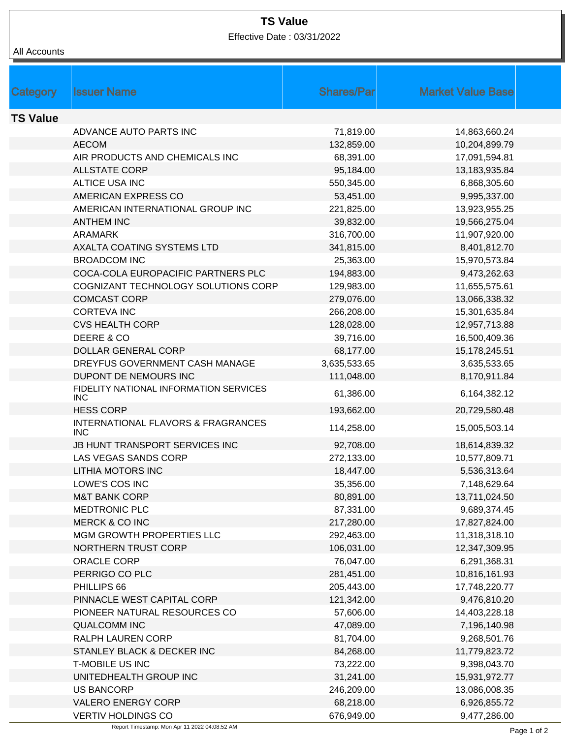## **TS Value**

Effective Date : 03/31/2022

All Accounts

| Category        | <b>Issuer Name</b>                                          | <b>Shares/Par</b> | <b>Market Value Base</b> |  |
|-----------------|-------------------------------------------------------------|-------------------|--------------------------|--|
|                 |                                                             |                   |                          |  |
| <b>TS Value</b> |                                                             |                   |                          |  |
|                 | ADVANCE AUTO PARTS INC                                      | 71,819.00         | 14,863,660.24            |  |
|                 | <b>AECOM</b>                                                | 132,859.00        | 10,204,899.79            |  |
|                 | AIR PRODUCTS AND CHEMICALS INC                              | 68,391.00         | 17,091,594.81            |  |
|                 | <b>ALLSTATE CORP</b>                                        | 95,184.00         | 13,183,935.84            |  |
|                 | ALTICE USA INC                                              | 550,345.00        | 6,868,305.60             |  |
|                 | AMERICAN EXPRESS CO                                         | 53,451.00         | 9,995,337.00             |  |
|                 | AMERICAN INTERNATIONAL GROUP INC                            | 221,825.00        | 13,923,955.25            |  |
|                 | <b>ANTHEM INC</b>                                           | 39,832.00         | 19,566,275.04            |  |
|                 | <b>ARAMARK</b>                                              | 316,700.00        | 11,907,920.00            |  |
|                 | AXALTA COATING SYSTEMS LTD                                  | 341,815.00        | 8,401,812.70             |  |
|                 | <b>BROADCOM INC</b>                                         | 25,363.00         | 15,970,573.84            |  |
|                 | COCA-COLA EUROPACIFIC PARTNERS PLC                          | 194,883.00        | 9,473,262.63             |  |
|                 | COGNIZANT TECHNOLOGY SOLUTIONS CORP                         | 129,983.00        | 11,655,575.61            |  |
|                 | <b>COMCAST CORP</b>                                         | 279,076.00        | 13,066,338.32            |  |
|                 | <b>CORTEVA INC</b>                                          | 266,208.00        | 15,301,635.84            |  |
|                 | <b>CVS HEALTH CORP</b>                                      | 128,028.00        | 12,957,713.88            |  |
|                 | DEERE & CO                                                  | 39,716.00         | 16,500,409.36            |  |
|                 | <b>DOLLAR GENERAL CORP</b>                                  | 68,177.00         | 15,178,245.51            |  |
|                 | DREYFUS GOVERNMENT CASH MANAGE                              | 3,635,533.65      | 3,635,533.65             |  |
|                 | DUPONT DE NEMOURS INC                                       | 111,048.00        | 8,170,911.84             |  |
|                 | FIDELITY NATIONAL INFORMATION SERVICES<br><b>INC</b>        | 61,386.00         | 6,164,382.12             |  |
|                 | <b>HESS CORP</b>                                            | 193,662.00        | 20,729,580.48            |  |
|                 | <b>INTERNATIONAL FLAVORS &amp; FRAGRANCES</b><br><b>INC</b> | 114,258.00        | 15,005,503.14            |  |
|                 | JB HUNT TRANSPORT SERVICES INC                              | 92,708.00         | 18,614,839.32            |  |
|                 | LAS VEGAS SANDS CORP                                        | 272,133.00        | 10,577,809.71            |  |
|                 | <b>LITHIA MOTORS INC</b>                                    | 18,447.00         | 5,536,313.64             |  |
|                 | LOWE'S COS INC                                              | 35,356.00         | 7,148,629.64             |  |
|                 | <b>M&amp;T BANK CORP</b>                                    | 80,891.00         | 13,711,024.50            |  |
|                 | <b>MEDTRONIC PLC</b>                                        | 87,331.00         | 9,689,374.45             |  |
|                 | <b>MERCK &amp; CO INC</b>                                   | 217,280.00        | 17,827,824.00            |  |
|                 | MGM GROWTH PROPERTIES LLC                                   | 292,463.00        | 11,318,318.10            |  |
|                 | <b>NORTHERN TRUST CORP</b>                                  | 106,031.00        | 12,347,309.95            |  |
|                 | ORACLE CORP                                                 | 76,047.00         | 6,291,368.31             |  |
|                 | PERRIGO CO PLC                                              | 281,451.00        | 10,816,161.93            |  |
|                 | PHILLIPS 66                                                 | 205,443.00        | 17,748,220.77            |  |
|                 | PINNACLE WEST CAPITAL CORP                                  | 121,342.00        | 9,476,810.20             |  |
|                 | PIONEER NATURAL RESOURCES CO                                | 57,606.00         | 14,403,228.18            |  |
|                 | <b>QUALCOMM INC</b>                                         | 47,089.00         | 7,196,140.98             |  |
|                 | RALPH LAUREN CORP                                           | 81,704.00         | 9,268,501.76             |  |
|                 | STANLEY BLACK & DECKER INC                                  | 84,268.00         | 11,779,823.72            |  |
|                 | <b>T-MOBILE US INC</b>                                      | 73,222.00         | 9,398,043.70             |  |
|                 | UNITEDHEALTH GROUP INC                                      | 31,241.00         | 15,931,972.77            |  |
|                 | <b>US BANCORP</b>                                           | 246,209.00        | 13,086,008.35            |  |
|                 | <b>VALERO ENERGY CORP</b>                                   | 68,218.00         | 6,926,855.72             |  |
|                 | <b>VERTIV HOLDINGS CO</b>                                   | 676,949.00        | 9,477,286.00             |  |

Report Timestamp: Mon Apr 11 2022 04:08:52 AM